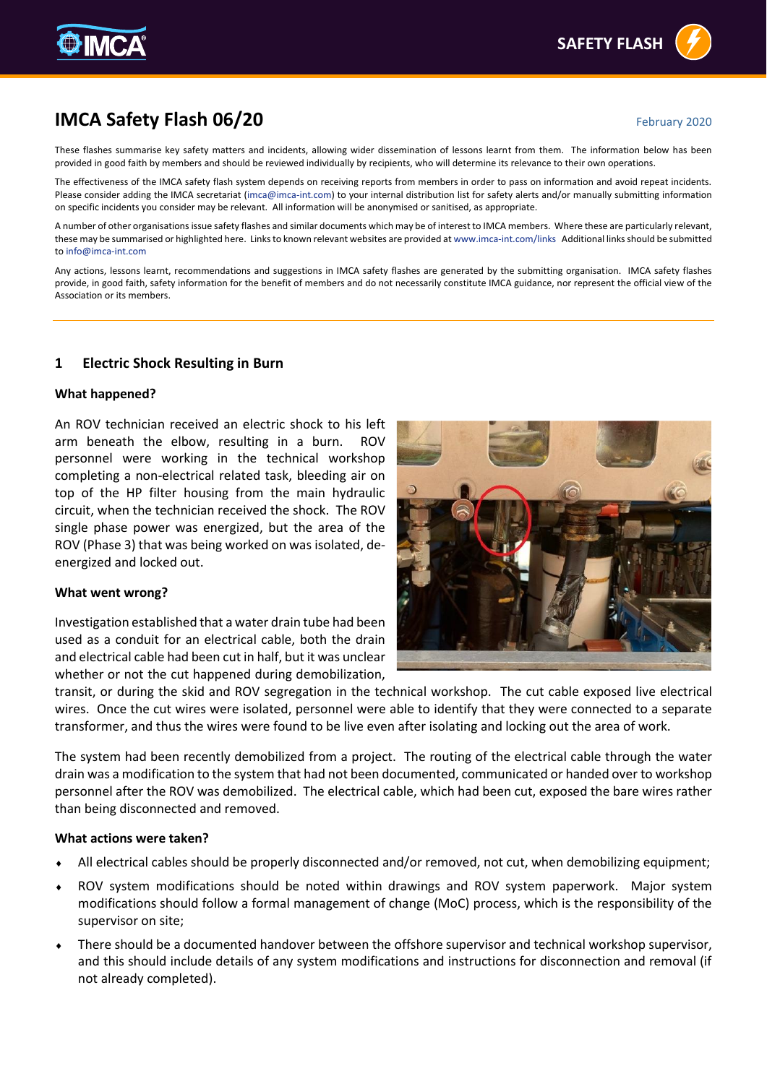# **IMCA Safety Flash 06/20 February 2020** February 2020

These flashes summarise key safety matters and incidents, allowing wider dissemination of lessons learnt from them. The information below has been provided in good faith by members and should be reviewed individually by recipients, who will determine its relevance to their own operations.

The effectiveness of the IMCA safety flash system depends on receiving reports from members in order to pass on information and avoid repeat incidents. Please consider adding the IMCA secretariat [\(imca@imca-int.com\)](mailto:imca@imca-int.com) to your internal distribution list for safety alerts and/or manually submitting information on specific incidents you consider may be relevant. All information will be anonymised or sanitised, as appropriate.

A number of other organisations issue safety flashes and similar documents which may be of interest to IMCA members. Where these are particularly relevant, these may be summarised or highlighted here. Links to known relevant websites are provided a[t www.imca-int.com/links](http://www.imca-int.com/links) Additional links should be submitted t[o info@imca-int.com](mailto:info@imca-int.com)

Any actions, lessons learnt, recommendations and suggestions in IMCA safety flashes are generated by the submitting organisation. IMCA safety flashes provide, in good faith, safety information for the benefit of members and do not necessarily constitute IMCA guidance, nor represent the official view of the Association or its members.

# **1 Electric Shock Resulting in Burn**

#### **What happened?**

An ROV technician received an electric shock to his left arm beneath the elbow, resulting in a burn. ROV personnel were working in the technical workshop completing a non-electrical related task, bleeding air on top of the HP filter housing from the main hydraulic circuit, when the technician received the shock. The ROV single phase power was energized, but the area of the ROV (Phase 3) that was being worked on was isolated, deenergized and locked out.

#### **What went wrong?**

Investigation established that a water drain tube had been used as a conduit for an electrical cable, both the drain and electrical cable had been cut in half, but it was unclear whether or not the cut happened during demobilization,

transit, or during the skid and ROV segregation in the technical workshop. The cut cable exposed live electrical wires. Once the cut wires were isolated, personnel were able to identify that they were connected to a separate transformer, and thus the wires were found to be live even after isolating and locking out the area of work.

The system had been recently demobilized from a project. The routing of the electrical cable through the water drain was a modification to the system that had not been documented, communicated or handed over to workshop personnel after the ROV was demobilized. The electrical cable, which had been cut, exposed the bare wires rather than being disconnected and removed.

#### **What actions were taken?**

- All electrical cables should be properly disconnected and/or removed, not cut, when demobilizing equipment;
- ROV system modifications should be noted within drawings and ROV system paperwork. Major system modifications should follow a formal management of change (MoC) process, which is the responsibility of the supervisor on site;
- There should be a documented handover between the offshore supervisor and technical workshop supervisor, and this should include details of any system modifications and instructions for disconnection and removal (if not already completed).



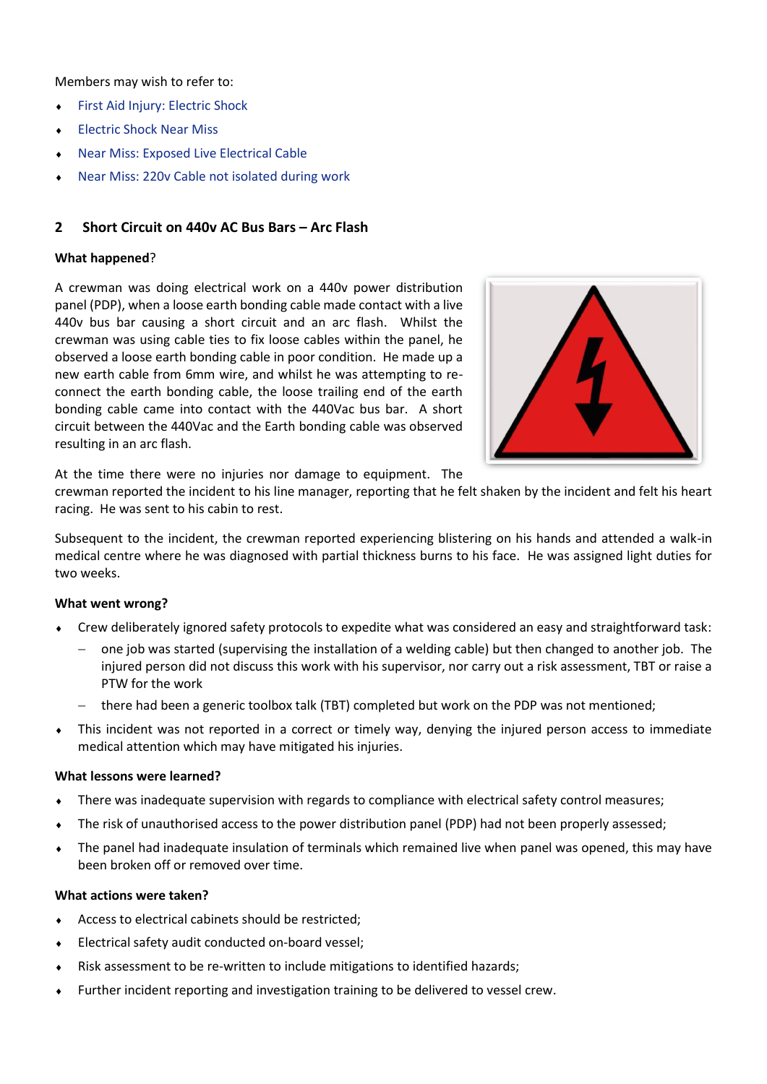Members may wish to refer to:

- [First Aid Injury: Electric Shock](https://www.imca-int.com/alert/1135/first-aid-injury-electric-shock/)
- ◆ [Electric Shock Near](https://www.imca-int.com/alert/467/electric-shock-near-miss/) Miss
- [Near Miss: Exposed Live Electrical Cable](https://www.imca-int.com/alert/701/near-miss-exposed-live-electrical-cable/)
- [Near Miss: 220v Cable not isolated during work](https://www.imca-int.com/alert/630/near-miss-220v-cable-not-isolated-during-work/)

## **2 Short Circuit on 440v AC Bus Bars – Arc Flash**

## **What happened**?

A crewman was doing electrical work on a 440v power distribution panel (PDP), when a loose earth bonding cable made contact with a live 440v bus bar causing a short circuit and an arc flash. Whilst the crewman was using cable ties to fix loose cables within the panel, he observed a loose earth bonding cable in poor condition. He made up a new earth cable from 6mm wire, and whilst he was attempting to reconnect the earth bonding cable, the loose trailing end of the earth bonding cable came into contact with the 440Vac bus bar. A short circuit between the 440Vac and the Earth bonding cable was observed resulting in an arc flash.



At the time there were no injuries nor damage to equipment. The

crewman reported the incident to his line manager, reporting that he felt shaken by the incident and felt his heart racing. He was sent to his cabin to rest.

Subsequent to the incident, the crewman reported experiencing blistering on his hands and attended a walk-in medical centre where he was diagnosed with partial thickness burns to his face. He was assigned light duties for two weeks.

## **What went wrong?**

- Crew deliberately ignored safety protocols to expedite what was considered an easy and straightforward task:
	- − one job was started (supervising the installation of a welding cable) but then changed to another job. The injured person did not discuss this work with his supervisor, nor carry out a risk assessment, TBT or raise a PTW for the work
	- there had been a generic toolbox talk (TBT) completed but work on the PDP was not mentioned;
- This incident was not reported in a correct or timely way, denying the injured person access to immediate medical attention which may have mitigated his injuries.

## **What lessons were learned?**

- There was inadequate supervision with regards to compliance with electrical safety control measures;
- The risk of unauthorised access to the power distribution panel (PDP) had not been properly assessed;
- The panel had inadequate insulation of terminals which remained live when panel was opened, this may have been broken off or removed over time.

#### **What actions were taken?**

- Access to electrical cabinets should be restricted;
- Electrical safety audit conducted on-board vessel;
- Risk assessment to be re-written to include mitigations to identified hazards;
- Further incident reporting and investigation training to be delivered to vessel crew.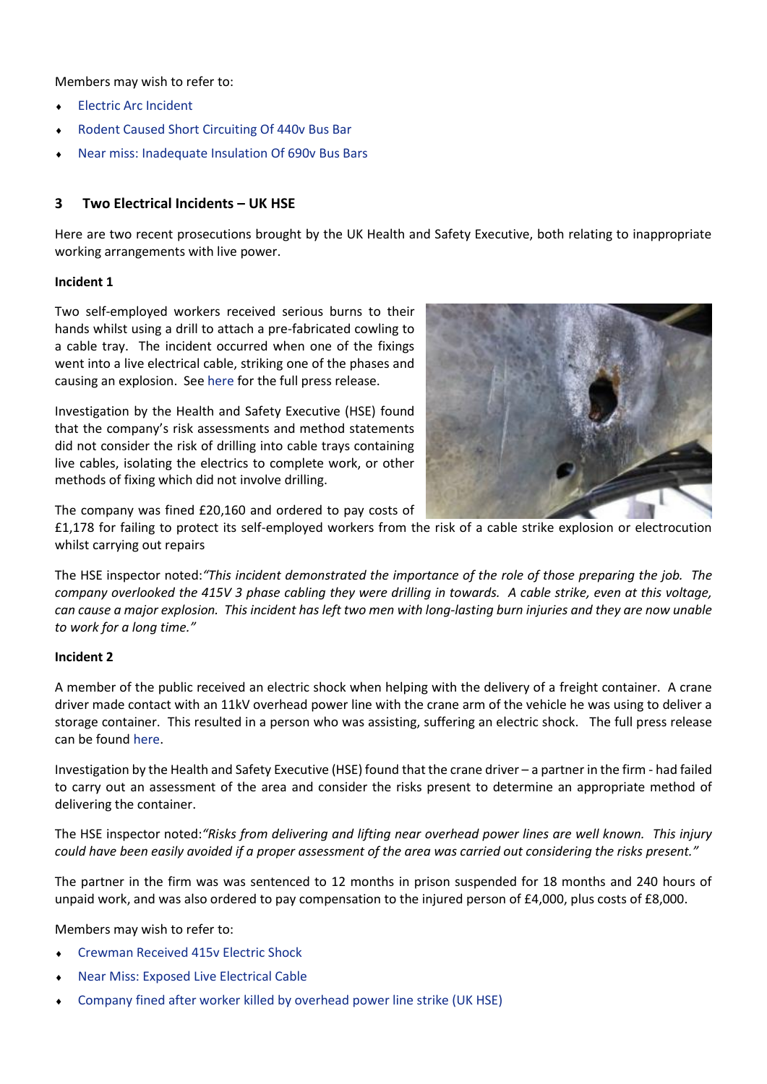Members may wish to refer to:

- **[Electric Arc Incident](https://www.imca-int.com/alert/1441/electric-arc-incident/)**
- [Rodent Caused Short Circuiting Of 440v Bus Bar](https://www.imca-int.com/alert/1386/rodent-caused-short-circuiting-of-440v-bus-bar/)
- [Near miss: Inadequate Insulation Of 690v Bus Bars](https://www.imca-int.com/alert/864/near-miss-inadequate-insulation-of-690v-bus-bars/)

# **3 Two Electrical Incidents – UK HSE**

Here are two recent prosecutions brought by the UK Health and Safety Executive, both relating to inappropriate working arrangements with live power.

## **Incident 1**

Two self-employed workers received serious burns to their hands whilst using a drill to attach a pre-fabricated cowling to a cable tray. The incident occurred when one of the fixings went into a live electrical cable, striking one of the phases and causing an explosion. See [here](https://press.hse.gov.uk/2019/11/27/industrial-roof-and-cladding-company-fined-after-self-employed-workers-suffer-burn-injuries/) for the full press release.

Investigation by the Health and Safety Executive (HSE) found that the company's risk assessments and method statements did not consider the risk of drilling into cable trays containing live cables, isolating the electrics to complete work, or other methods of fixing which did not involve drilling.



The company was fined £20,160 and ordered to pay costs of

£1,178 for failing to protect its self-employed workers from the risk of a cable strike explosion or electrocution whilst carrying out repairs

The HSE inspector noted:*"This incident demonstrated the importance of the role of those preparing the job. The company overlooked the 415V 3 phase cabling they were drilling in towards. A cable strike, even at this voltage, can cause a major explosion. This incident has left two men with long-lasting burn injuries and they are now unable to work for a long time."*

## **Incident 2**

A member of the public received an electric shock when helping with the delivery of a freight container. A crane driver made contact with an 11kV overhead power line with the crane arm of the vehicle he was using to deliver a storage container. This resulted in a person who was assisting, suffering an electric shock. The full press release can be foun[d here.](https://press.hse.gov.uk/2019/11/28/container-deliverer-sentenced-after-member-of-the-public-contacts-live-power-line/)

Investigation by the Health and Safety Executive (HSE) found that the crane driver – a partner in the firm - had failed to carry out an assessment of the area and consider the risks present to determine an appropriate method of delivering the container.

The HSE inspector noted:*"Risks from delivering and lifting near overhead power lines are well known. This injury could have been easily avoided if a proper assessment of the area was carried out considering the risks present."*

The partner in the firm was was sentenced to 12 months in prison suspended for 18 months and 240 hours of unpaid work, and was also ordered to pay compensation to the injured person of £4,000, plus costs of £8,000.

Members may wish to refer to:

- [Crewman Received 415v Electric Shock](https://www.imca-int.com/alert/1399/crewman-received-415v-electric-shock/)
- [Near Miss: Exposed Live Electrical Cable](https://www.imca-int.com/alert/701/near-miss-exposed-live-electrical-cable/)
- [Company fined after worker killed by overhead power line strike \(UK HSE\)](https://press.hse.gov.uk/2019/03/08/company-fined-after-worker-killed-by-overhead-power-line-strike/)